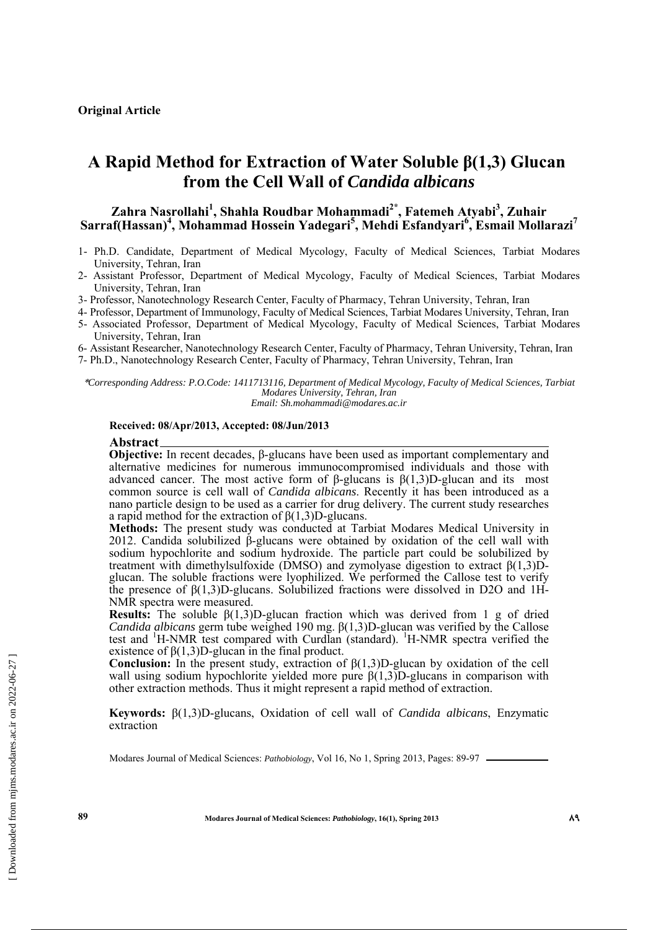## **A Rapid Method for Extraction of Water Soluble β(1,3) Glucan from the Cell Wall of** *Candida albicans*

### **Zahra Nasrollahi<sup>1</sup> , Shahla Roudbar Mohammadi2\*, Fatemeh Atyabi3 , Zuhair Sarraf(Hassan)<sup>4</sup> , Mohammad Hossein Yadegari<sup>5</sup> , Mehdi Esfandyari<sup>6</sup> , Esmail Mollarazi<sup>7</sup>**

- 1- Ph.D. Candidate, Department of Medical Mycology, Faculty of Medical Sciences, Tarbiat Modares University, Tehran, Iran
- 2- Assistant Professor, Department of Medical Mycology, Faculty of Medical Sciences, Tarbiat Modares University, Tehran, Iran
- 3- Professor, Nanotechnology Research Center, Faculty of Pharmacy, Tehran University, Tehran, Iran
- 4- Professor, Department of Immunology, Faculty of Medical Sciences, Tarbiat Modares University, Tehran, Iran
- 5- Associated Professor, Department of Medical Mycology, Faculty of Medical Sciences, Tarbiat Modares University, Tehran, Iran

6- Assistant Researcher, Nanotechnology Research Center, Faculty of Pharmacy, Tehran University, Tehran, Iran

7- Ph.D., Nanotechnology Research Center, Faculty of Pharmacy, Tehran University, Tehran, Iran

\**Corresponding Address: P.O.Code: 1411713116, Department of Medical Mycology, Faculty of Medical Sciences, Tarbiat Modares University, Tehran, Iran Email: Sh.mohammadi@modares.ac.ir* 

#### **Received: 08/Apr/2013, Accepted: 08/Jun/2013**

#### **Abstract**

**Objective:** In recent decades, β-glucans have been used as important complementary and alternative medicines for numerous immunocompromised individuals and those with advanced cancer. The most active form of β-glucans is  $β(1,3)D$ -glucan and its most common source is cell wall of *Candida albicans*. Recently it has been introduced as a nano particle design to be used as a carrier for drug delivery. The current study researches a rapid method for the extraction of β(1,3)D-glucans.

**Methods:** The present study was conducted at Tarbiat Modares Medical University in 2012. Candida solubilized β-glucans were obtained by oxidation of the cell wall with sodium hypochlorite and sodium hydroxide. The particle part could be solubilized by treatment with dimethylsulfoxide (DMSO) and zymolyase digestion to extract  $\beta(1,3)$ Dglucan. The soluble fractions were lyophilized. We performed the Callose test to verify the presence of  $\beta(1,3)$ D-glucans. Solubilized fractions were dissolved in D2O and 1H-NMR spectra were measured.

**Results:** The soluble  $\beta(1,3)$ D-glucan fraction which was derived from 1 g of dried *Candida albicans* germ tube weighed 190 mg. β(1,3)D-glucan was verified by the Callose test and <sup>1</sup>H-NMR test compared with Curdlan (standard). <sup>1</sup>H-NMR spectra verified the existence of  $β(1,3)D$ -glucan in the final product.

**Conclusion:** In the present study, extraction of  $\beta(1,3)$ D-glucan by oxidation of the cell wall using sodium hypochlorite yielded more pure  $\beta(1,3)$ D-glucans in comparison with other extraction methods. Thus it might represent a rapid method of extraction.

**Keywords:** β(1,3)D-glucans, Oxidation of cell wall of *Candida albicans*, Enzymatic extraction

Modares Journal of Medical Sciences: *Pathobiology*, Vol 16, No 1, Spring 2013, Pages: 89-97

**89 Modares Journal of Medical Sciences:** *Pathobiology***, 16(1), Spring 2013 89**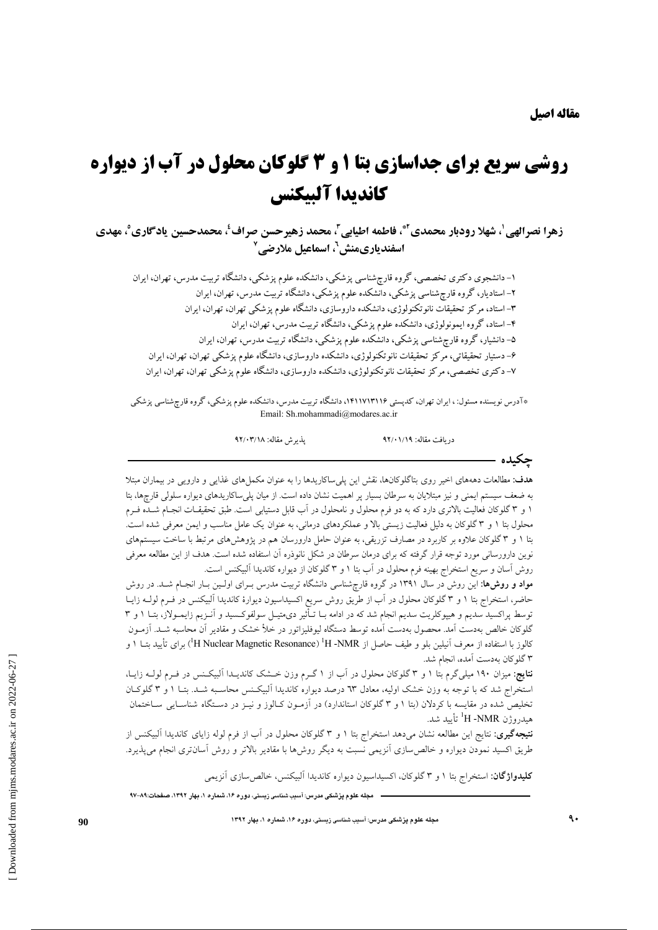# **روشي سريع براي جداسازي بتا 1 و 3 گلوكان محلول در آب از ديواره كانديدا آلبيكنس**

زهرا نصرالهي'، شهلا رودبار محمدي'"ٌ، فاطمه اطيابي"، محمد زهيرحسن صراف'، محمدحسين يادگاري°، مهدي **6 اسفندياريمنش ، اسماعيل ملارضي 7**

-1 دانشجوي دكتري تخصصي، گروه قارچشناسي پزشكي، دانشكده علوم پزشكي، دانشگاه تربيت مدرس، تهران، ايران -2 استاديار، گروه قارچشناسي پزشكي، دانشكده علوم پزشكي، دانشگاه تربيت مدرس، تهران، ايران -3 استاد، مركز تحقيقات نانوتكنولوژي، دانشكده داروسازي، دانشگاه علوم پزشكي تهران، تهران، ايران -4 استاد، گروه ايمونولوژي، دانشكده علوم پزشكي، دانشگاه تربيت مدرس، تهران، ايران -5 دانشيار، گروه قارچشناسي پزشكي، دانشكده علوم پزشكي، دانشگاه تربيت مدرس، تهران، ايران -6 دستيار تحقيقاتي، مركز تحقيقات نانوتكنولوژي، دانشكده داروسازي، دانشگاه علوم پزشكي تهران، تهران، ايران -7 دكتري تخصصي، مركز تحقيقات نانوتكنولوژي، دانشكده داروسازي، دانشگاه علوم پزشكي تهران، تهران، ايران

\*آدرس نويسنده مسئول: ، ايران تهران، كدپستي ،1411713116 دانشگاه تربيت مدرس، دانشكده علوم پزشكي، گروه قارچشناسي پزشكي Email: Sh.mohammadi@modares.ac.ir

دريافت مقاله: 92/01/19 پذيرش مقاله: 92/03/18

**چكيده** 

**هدف:** مطالعات دهههاي اخير روي بتاگلوكانها، نقش اين پليساكاريدها را به عنوان مكملهاي غذايي و دارويي در بيماران مبتلا به ضعف سيستم ايمني و نيز مبتلايان به سرطان بسيار پر اهميت نشان داده است. از ميان پليساكاريدهاي ديواره سلولي قارچها، بتا 1 و 3 گلوكان فعاليت بالاتري دارد كه به دو فرم محلول و نامحلول در آب قابل دستيابي است. طبق تحقيقـات انجـام شـده فـرم محلول بتا 1 و 3 گلوكان به دليل فعاليت زيستي بالا و عملكردهاي درماني، به عنوان يك عامل مناسب و ايمن معرفي شده است. بتا 1 و 3 گلوكان علاوه بر كاربرد در مصارف تزريقي، به عنوان حامل دارورسان هم در پژوهشهاي مرتبط با ساخت سيستمهاي نوين دارورساني مورد توجه قرار گرفته كه براي درمان سرطان در شكل نانوذره آن استفاده شده است. هدف از اين مطالعه معرفي روش آسان و سريع استخراج بهينه فرم محلول در آب بتا 1 و 3 گلوكان از ديواره كانديدا آلبيكنس است.

**مواد و روشها:** اين روش در سال 1391 در گروه قارچشناسي دانشگاه تربيت مدرس بـراي اولـين بـار انجـام شـد. در روش حاضر، استخراج بتا 1 و 3 گلوكان محلول در آب از طريق روش سريع اكسيداسيون ديوارة كانديدا آلبيكنس در فـرم لولـه زايـا توسط پراكسيد سديم و هيپوكلريت سديم انجام شد كه در ادامه بـا تـأثير ديمتيـل سولفوكـسيد و آنـزيم زايمـولاز، بتـا 1 و 3 گلوكان خالص بهدست آمد. محصول بهدست آمده توسط دستگاه ليوفليزاتور در خلأ خشك و مقادير آن محاسبه شـد. آزمـون Resonance Magnetic Nuclear H ( براي تأييد بتـا 1 و 1 NMR- H ) <sup>1</sup> كالوز با استفاده از معرف آنيلين بلو و طيف حاصل از 3 گلوكان بهدست آمده، انجام شد.

**نتايج:** ميزان 190 ميليگرم بتا 1 و 3 گلوكان محلول در آب از 1 گـرم وزن خـشك كانديـدا آلبيكـنس در فـرم لولـه زايـا، استخراج شد كه با توجه به وزن خشك اوليه، معادل 63 درصد ديواره كانديدا آلبيكـنس محاسـبه شـد. بتـا 1 و 3 گلوكـان تخليص شده در مقايسه با كردلان (بتا 1 و 3 گلوكان استاندارد) در آزمـون كـالوز و نيـز در دسـتگاه شناسـايي سـاختمان NMR- H تأييد شد. <sup>1</sup> هيدروژن

**نتيجهگيري:** نتايج اين مطالعه نشان ميدهد استخراج بتا 1 و 3 گلوكان محلول در آب از فرم لوله زاياي كانديدا آلبيكنس از طريق اكسيد نمودن ديواره و خالصسازي آنزيمي نسبت به ديگر روشها با مقادير بالاتر و روش آسانتري انجام ميپذيرد.

**كليدواژگان:** استخراج بتا 1 و 3 گلوكان، اكسيداسيون ديواره كانديدا آلبيكنس، خالصسازي آنزيمي

 $\overline{a}$ 

**مجله علوم پزشكي مدرس: آسيب شناسي زيستي، دوره ،16 شماره ،1 بهار ،1392 صفحات97-89:**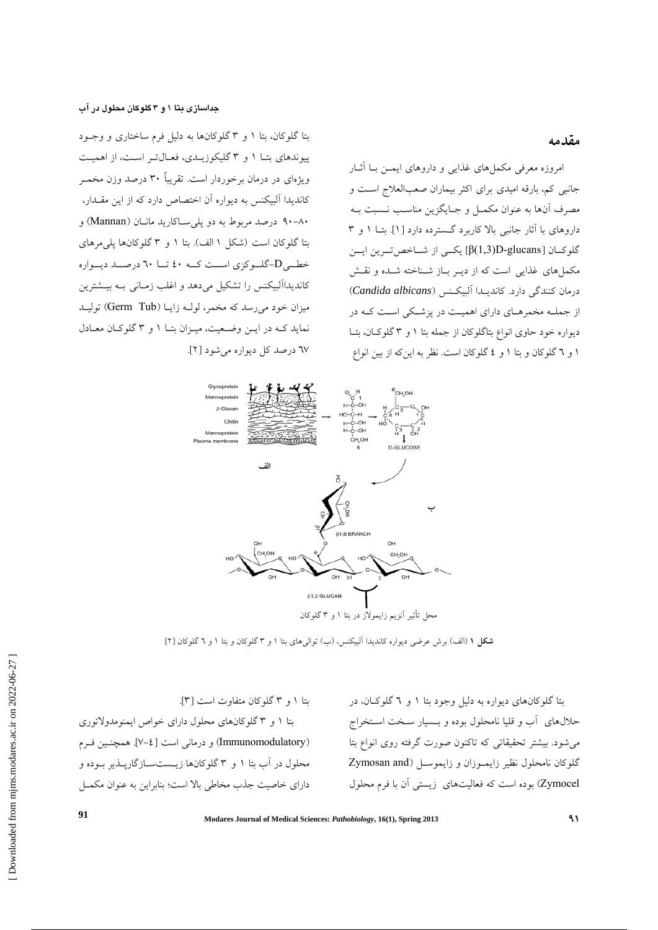**جداسازي بتا 1 و 3 گلوكان محلول در آب** 

### **مقدمه**

امروزه معرفي مكملهاي غذايي و داروهاي ايمـن بـا آثـار جانبي كم، بارقه اميدي براي اكثر بيماران صعبالعلاج اسـت و مصرف آنها به عنوان مكمـل و جـايگزين مناسـب نـسبت بـه داروهاي با آثار جانبي بالا كاربرد گـسترده دارد [1]. بتـا 1 و 3 گلوكــان [glucans-D)1,3(β [يكــي از شــاخصتــرين ايــن مكملهاي غذايي است كه از ديـر بـاز شـناخته شـده و نقـش درمان كنندگي دارد. كانديـدا آلبيكـنس (*albicans Candida*( از جملـه مخمرهـاي داراي اهميـت در پزشـكي اسـت كـه در ديواره خود حاوي انواع بتاگلوكان از جمله بتا 1 و 3 گلوكـان، بتـا 1 و 6 گلوكان و بتا 1 و 4 گلوكان است. نظر به اينكه از بين انواع

بتا گلوكان، بتا 1 و 3 گلوكانها به دليل فرم ساختاري و وجـود پيوندهاي بتـا 1 و 3 گليكوزيـدي، فعـالتـر اسـت، از اهميـت ويژهاي در درمان برخوردار است. تقريباً 30 درصد وزن مخمـر كانديدا آلبيكنس به ديواره آن اختصاص دارد كه از اين مقـدار، 90-80 درصد مربوط به دو پليسـاكاريد مانـان (Mannan (و بتا گلوكان است (شكل 1 الف). بتا 1 و 3 گلوكانها پليمرهاي خطــيD-گلــوكزي اســت كــه 40 تــا 60 درصــد ديــواره كانديداآلبيكنس را تشكيل ميدهد و اغلب زمـاني بـه بيـشترين ميزان خود مي رسد كه مخمر، لولـه زايـا (Germ Tub) توليـد نمايد كـه در ايـن وضـعيت، ميـزان بتـا 1 و 3 گلوكـان معـادل 67 درصد كل ديواره ميشود [2].



**شكل 1** (الف) برش عرضي ديواره كانديدا آلبيكنس، (ب) تواليهاي بتا 1 و 3 گلوكان و بتا 1 و 6 گلوكان [2]

بتا گلوكانهاي ديواره به دليل وجود بتا 1 و 6 گلوكـان، در حلالهاي آب و قليا نامحلول بوده و بـسيار سـخت اسـتخراج ميشود. بيشتر تحقيقاتي كه تاكنون صورت گرفته روي انواع بتا گلوكان نامحلول نظير زايمـوزان و زايموسـل (Zymosan and Zymocel (بوده است كه فعاليتهاي زيستي آن با فرم محلول

بتا 1 و 3 گلوكان متفاوت است [3]. بتا 1 و 3 گلوكانهاي محلول داراي خواص ايمنومدولاتوري (Immunomodulatory (و درماني است [7-4]. همچنـين فـرم محلول در آب بتا 1 و 3 گلوكانها زيـستسـازگارپـذير بـوده و داراي خاصيت جذب مخاطي بالا است؛ بنابراين به عنوان مكمـل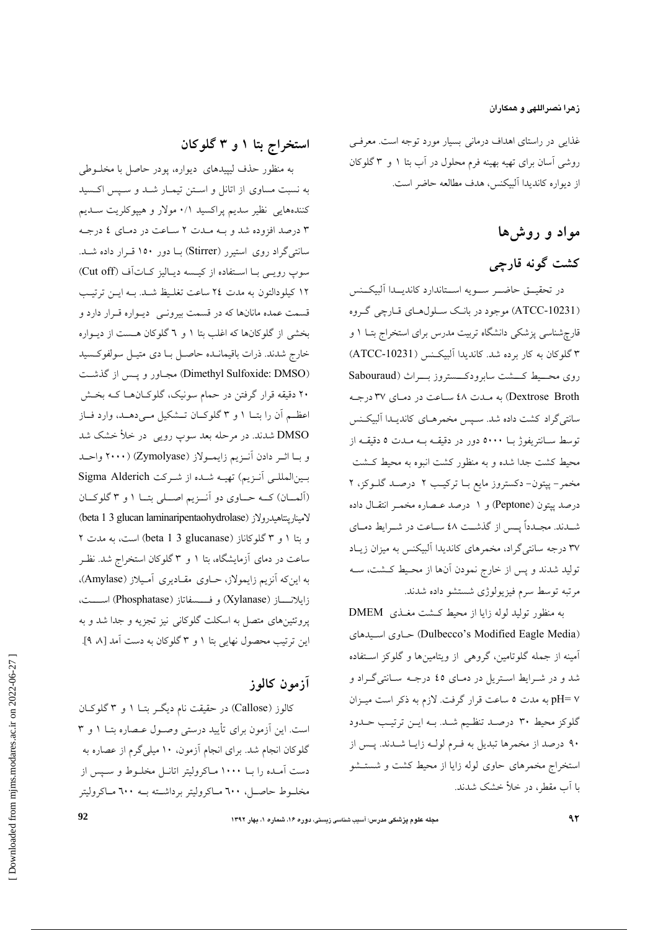### **زهرا نصراللهي و همكاران**

غذايي در راستاي اهداف درماني بسيار مورد توجه است. معرفـي روشي آسان براي تهيه بهينه فرم محلول در آب بتا 1 و 3 گلوكان از ديواره كانديدا آلبيكنس، هدف مطالعه حاضر است.

# **مواد و روشها كشت گونه قارچي**

در تحقيــق حاضــر ســويه اســتاندارد كانديــدا آلبيكــنس (-10231ATCC (موجود در بانـك سـلولهـاي قـارچي گـروه قارچشناسي پزشكي دانشگاه تربيت مدرس براي استخراج بتـا 1 و 3 گلوكان به كار برده شد. كانديدا آلبيكـنس (-10231ATCC( روي محــيط كــشت سابرودكــستروز بــراث (Sabouraud Broth Dextrose (به مـدت 48 سـاعت در دمـاي 37 درجـه سانتيگراد كشت داده شد. سـپس مخمرهـاي كانديـدا آلبيكـنس توسط سـانتريفوژ بـا 5000 دور در دقيقـه بـه مـدت 5 دقيقـه از محيط كشت جدا شده و به منظور كشت انبوه به محيط كـشت مخمر- پپتون- دكستروز مايع بـا تركيـب 2 درصـد گلـوكز، 2 درصد پپتون (Peptone (و 1 درصد عـصاره مخمـر انتقـال داده شـدند. مجــدداً پــس از گذشــت 48 ســاعت در شــرايط دمــاي 37 درجه سانتيگراد، مخمرهاي كانديدا آلبيكنس به ميزان زيـاد توليد شدند و پس از خارج نمودن آنها از محـيط كـشت، سـه مرتبه توسط سرم فيزيولوژي شستشو داده شدند.

به منظور توليد لوله زايا از محيط كـشت مغـذي DMEM اسـيدهاي حـاوي) Dulbecco's Modified Eagle Media) آمينه از جمله گلوتامين، گروهي از ويتامينها و گلوكز اسـتفاده شد و در شـرايط اسـتريل در دمـاي 45 درجـه سـانتيگـراد و 7 =pH به مدت 5 ساعت قرار گرفت. لازم به ذكر است ميـزان گلوكز محيط 30 درصـد تنظـيم شـد. بـه ايـن ترتيـب حـدود 90 درصد از مخمرها تبديل به فـرم لولـه زايـا شـدند. پـس از استخراج مخمرهاي حاوي لوله زايا از محيط كشت و شستـشو با آب مقطر، در خلأ خشك شدند.

# **استخراج بتا 1 و 3 گلوكان**

به منظور حذف ليپيدهاي ديواره، پودر حاصل با مخلـوطي به نسبت مساوي از اتانل و اسـتن تيمـار شـد و سـپس اكـسيد كنندههايي نظير سديم پراكسيد 0/1 مولار و هيپوكلريت سـديم 3 درصد افزوده شد و بـه مـدت 2 سـاعت در دمـاي 4 درجـه سانتيگراد روي استيرر (Stirrer (بـا دور 150 قـرار داده شـد. سوپ رويـي بـا اسـتفاده از كيـسه ديـاليز كـاتآف (Cut off) 12 كيلودالتون به مدت 24 ساعت تغلـيظ شـد. بـه ايـن ترتيـب قسمت عمده مانانها كه در قسمت بيرونـي ديـواره قـرار دارد و بخشي از گلوكانها كه اغلب بتا 1 و 6 گلوكان هـست از ديـواره خارج شدند. ذرات باقيمانـده حاصـل بـا دي متيـل سولفوكـسيد (Dimethyl Sulfoxide: DMSO) مجـاور و پـس از گذشـت 20 دقيقه قرار گرفتن در حمام سونيك، گلوكـانهـا كـه بخـش اعظــم آن را بتــا 1 و 3 گلوكــان تــشكيل مــيدهــد، وارد فــاز DMSO شدند. در مرحله بعد سوپ رويي در خلأ خشك شد و بـا اثـر دادن آنـزيم زايمـولاز (Zymolyase) (2000 واحـد بـينالمللـي آنـزيم) تهيـه شـده از شـركت Alderich Sigma (آلمــان) كــه حــاوي دو آنــزيم اصــلي بتــا 1 و 3 گلوكــان (beta 1 3 glucan laminaripentaohydrolase) لامينارپنتاهيدرولاز و بتا 1 و 3 گلوكاناز (glucanase 3 1 beta (است، به مدت 2 ساعت در دماي آزمايشگاه، بتا 1 و 3 گلوكان استخراج شد. نظـر به اينكه آنزيم زايمولاز، حـاوي مقـاديري آمـيلاز (Amylase(، زايلانـــاز (Xylanase (و فـــسفاتاز (Phosphatase (اســـت، پروتئينهاي متصل به اسكلت گلوكاني نيز تجزيه و جدا شد و به اين ترتيب محصول نهايي بتا 1 و 3 گلوكان به دست آمد [،8 9].

### **آزمون كالوز**

كالوز (Callose (در حقيقت نام ديگـر بتـا 1 و 3 گلوكـان است. اين آزمون براي تأييد درستي وصـول عـصاره بتـا 1 و 3 گلوكان انجام شد. براي انجام آزمون، 10 ميليگرم از عصاره به دست آمـده را بـا 1000 مـاكروليتر اتانـل مخلـوط و سـپس از مخلـوط حاصـل، 600 مـاكروليتر برداشـته بـه 600 مـاكروليتر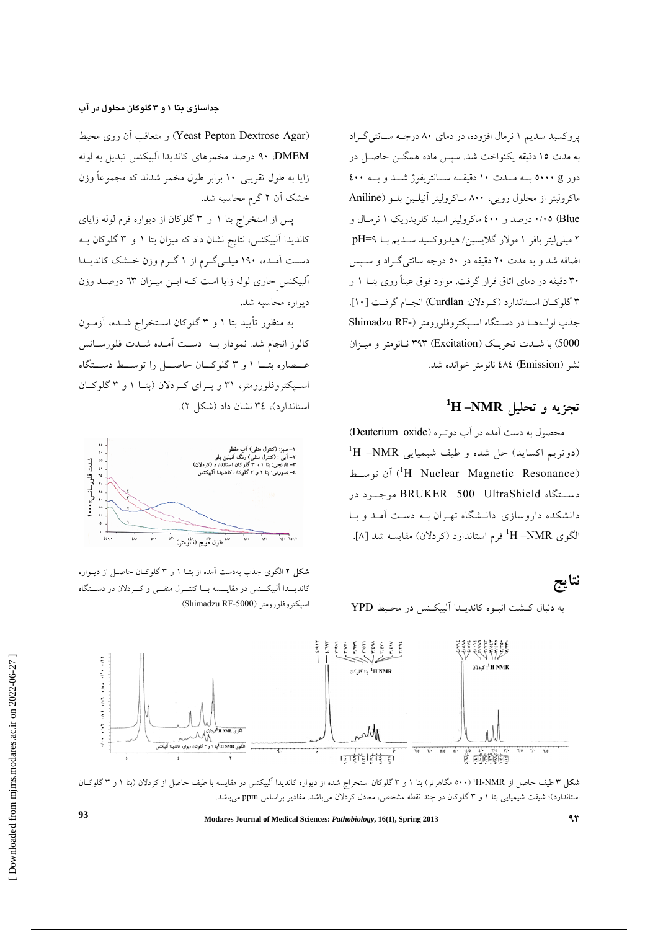پروكسيد سديم 1 نرمال افزوده، در دماي 80 درجـه سـانتيگـراد به مدت 15 دقيقه يكنواخت شد. سپس ماده همگـن حاصـل در دور g 5000 بــه مــدت 10 دقيقــه ســانتريفوژ شــد و بــه 400 ماكروليتر از محلول رويي، 800 مـاكروليتر آنيلـين بلـو (Aniline Blue (0/05 درصد و 400 ماكروليتر اسيد كلريدريك 1 نرمـال و 2 ميليليتر بافر 1 مولار گلايسين/ هيدروكسيد سـديم بـا 9=pH اضافه شد و به مدت 20 دقيقه در 50 درجه سانتيگـراد و سـپس 30 دقيقه در دماي اتاق قرار گرفت. موارد فوق عيناً روي بتـا 1 و 3 گلوكـان اسـتاندارد (كـردلان: Curdlan (انجـام گرفـت [10]. جذب لولـههـا در دسـتگاه اسـپكتروفلورومتر (-RF Shimadzu 5000) با شـدت تحريـك (Excitation (393 نـانومتر و ميـزان نشر (Emission (484 نانومتر خوانده شد.

# **NMR –H <sup>1</sup> تجزيه و تحليل**

محصول به دست آمده در آب دوتـره (oxide Deuterium(  $^1{\rm H}$  –NMR دوتريم اكسايد) حل شده و طيف شيميايى أن توســط (<sup>1</sup>H Nuclear Magnetic Resonance) آن توســط دســتگاه UltraShield 500 BRUKER موجــود در دانشكده داروسازي دانـشگاه تهـران بـه دسـت آمـد و بـا NMR –H فرم استاندارد (كردلان) مقايسه شد [8]. <sup>1</sup> الگوي

به دنبال كـشت انبـوه كانديـدا آلبيكـنس در محـيط YPD

### **جداسازي بتا 1 و 3 گلوكان محلول در آب**

(Agar Dextrose Pepton Yeast (و متعاقب آن روي محيط DMEM، 90 درصد مخمرهاي كانديدا آلبيكنس تبديل به لوله زايا به طول تقريبي 10 برابر طول مخمر شدند كه مجموعاً وزن خشك آن 2 گرم محاسبه شد.

پس از استخراج بتا 1 و 3 گلوكان از ديواره فرم لوله زاياي كانديدا آلبيكنس، نتايج نشان داد كه ميزان بتا 1 و 3 گلوكان بـه دسـت آمـده، 190 ميلـيگـرم از 1 گـرم وزن خـشك كانديـدا آلبيكنسِحاوي لوله زايا است كـه ايـن ميـزان 63 درصـد وزن ديواره محاسبه شد.

به منظور تأييد بتا 1 و 3 گلوكان اسـتخراج شـده، آزمـون كالوز انجام شد. نمودار بـه دسـت آمـده شـدت فلورسـانس عــصاره بتــا 1 و 3 گلوكــان حاصــل را توســط دســتگاه اســپكتروفلورومتر، 31 و بــراي كــردلان (بتــا 1 و 3 گلوكــان استاندارد)، 34 نشان داد (شكل 2).



**شكل 2** الگوي جذب بهدست آمده از بتـا 1 و 3 گلوكـان حاصـل از ديـواره كانديــدا آلبيكــنس در مقايــسه بــا كنتــرل منفــي و كــردلان در دســتگاه (Shimadzu RF-5000) اسپكتروفلورومتر



**شكل 3** طيف حاصل از NMR-H¹) 500 مگاهرتز) بتا 1 و 3 گلوكان استخراج شده از ديواره كانديدا آلبيكنس در مقايسه با طيف حاصل از كردلان (بتا 1 و 3 گلوكـان استاندارد)؛ شيفت شيميايي بتا 1 و 3 گلوكان در چند نقطه مشخص، معادل كردلان ميباشد. مفادير براساس ppm ميباشد.

**Modares Journal of Medical Sciences:** *Pathobiology***, 16(1), Spring 2013 <sup>93</sup> <sup>93</sup>**

 [\[ Downloaded from mjms.modares.ac.ir on](https://mjms.modares.ac.ir/article-30-3156-en.html) 2022-06-27 ]

Downloaded from minns.modares.ac.ir on 2022-06-27

**نتايج**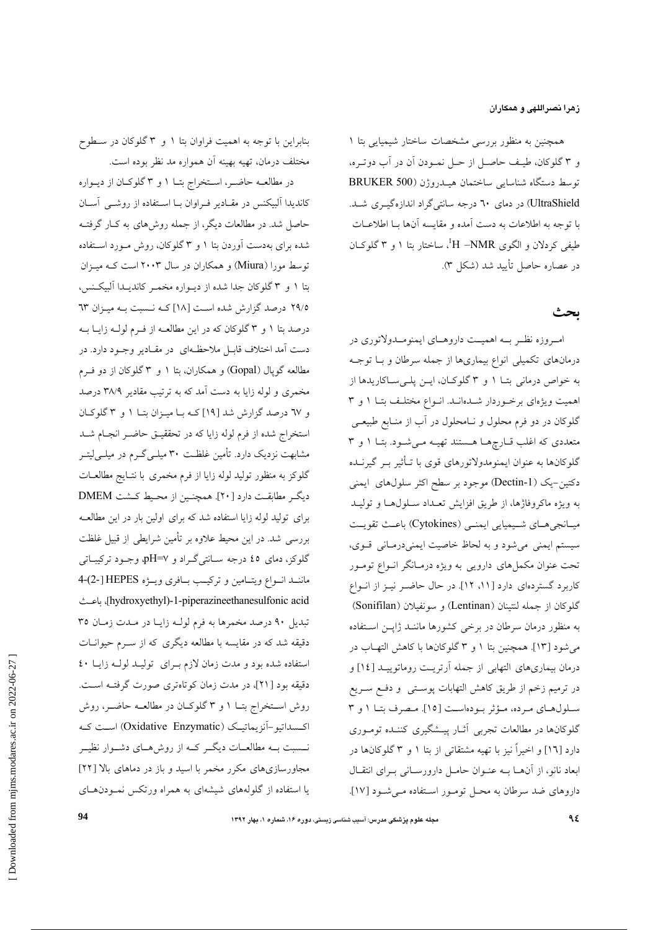**زهرا نصراللهي و همكاران**

همچنين به منظور بررسي مشخصات ساختار شيميايي بتا 1 و 3 گلوكان، طيـف حاصـل از حـل نمـودن آن در آب دوتـره، توسط دستگاه شناسايي ساختمان هيـدروژن (500 BRUKER UltraShield (در دماي 60 درجه سانتيگراد اندازهگيـري شـد. با توجه به اطلاعات به دست آمده و مقايسه آنها بـا اطلاعـات طيفي كردلان و الگوي H –NMR، ساختار بتا ۱ و ۳ گلوكـان در عصاره حاصل تأييد شد (شكل 3).

### **بحث**

امــروزه نظــر بــه اهميــت داروهــاي ايمنومــدولاتوري در درمانهاي تكميلي انواع بيماريها از جمله سرطان و بـا توجـه به خواص درماني بتـا 1 و 3 گلوكـان، ايـن پلـيسـاكاريدها از اهميت ويژهاي برخـوردار شـدهانـد. انـواع مختلـف بتـا 1 و 3 گلوكان در دو فرم محلول و نـامحلول در آب از منـابع طبيعـي متعددي كه اغلب قـارچهـا هـستند تهيـه مـيشـود. بتـا 1 و 3 گلوكانها به عنوان ايمنومدولاتورهاي قوي با تـأثير بـر گيرنـده دكتين-يك (-1Dectin (موجود بر سطح اكثر سلولهاي ايمني به ويژه ماكروفاژها، از طريق افزايش تعـداد سـلولهـا و توليـد ميــانجيهـاي شــيميايي ايمنــي (Cytokines) باعـث تقويـت سيستم ايمني ميشود و به لحاظ خاصيت ايمنيدرمـاني قـوي، تحت عنوان مكملهاي دارويي به ويژه درمـانگر انـواع تومـور كاربرد گستردهاي دارد [،11 12]. در حال حاضـر نيـز از انـواع گلوكان از جمله لنتينان (Lentinan (و سونفيلان (Sonifilan( به منظور درمان سرطان در برخي كشورها ماننـد ژاپـن اسـتفاده ميشود [13]. همچنين بتا 1 و 3 گلوكانها با كاهش التهـاب در درمان بيماريهاي التهابي از جمله آرتريـت روماتوييـد [14] و در ترميم زخم از طريق كاهش التهابات پوسـتي و دفـع سـريع سـلولهـاي مـرده، مـؤثر بـودهاسـت [15]. مـصرف بتـا 1 و 3 گلوكانها در مطالعات تجربي آثـار پيـشگيري كننـده تومـوري دارد [16] و اخيراً نيز با تهيه مشتقاتي از بتا 1 و 3 گلوكانها در ابعاد نانو، از آنهـا بـه عنـوان حامـل دارورسـاني بـراي انتقـال داروهاي ضد سرطان به محـل تومـور اسـتفاده مـيشـود [17].

بنابراين با توجه به اهميت فراوان بتا 1 و 3 گلوكان در سـطوح مختلف درمان، تهيه بهينه آن همواره مد نظر بوده است.

در مطالعـه حاضـر، اسـتخراج بتـا 1 و 3 گلوكـان از ديـواره كانديدا آلبيكنس در مقـادير فـراوان بـا اسـتفاده از روشـي آسـان حاصل شد. در مطالعات ديگر، از جمله روشهاي به كـار گرفتـه شده براي بهدست آوردن بتا 1 و 3 گلوكان، روش مـورد اسـتفاده توسط مورا (Miura (و همكاران در سال 2003 است كـه ميـزان بتا 1 و 3 گلوكان جدا شده از ديـواره مخمـر كانديـدا آلبيكـنس، 29/5 درصد گزارش شده اسـت [18] كـه نـسبت بـه ميـزان 63 درصد بتا 1 و 3 گلوكان كه در اين مطالعـه از فـرم لولـه زايـا بـه دست آمد اختلاف قابـل ملاحظـهاي در مقـادير وجـود دارد. در مطالعه گوپال (Gopal (و همكاران، بتا 1 و 3 گلوكان از دو فـرم مخمري و لوله زايا به دست آمد كه به ترتيب مقادير 38/9 درصد و 67 درصد گزارش شد [19] كـه بـا ميـزان بتـا 1 و 3 گلوكـان استخراج شده از فرم لوله زايا كه در تحققيـق حاضـر انجـام شـد مشابهت نزديك دارد. تأمين غلظـت 30 ميلـيگـرم در ميلـيليتـر گلوكز به منظور توليد لوله زايا از فرم مخمري با نتـايج مطالعـات ديگـر مطابقـت دارد [20]. همچنـين از محـيط كـشت DMEM براي توليد لوله زايا استفاده شد كه براي اولين بار در اين مطالعـه بررسي شد. در اين محيط علاوه بر تأمين شرايطي از قبيل غلظت گلوكز، دماي 45 درجه سـانتيگـراد و 7=pH، وجـود تركيبـاتي ماننــد انــواع ويتــامين و تركيــب بــافري ويــژه HEPES] 2-(4- باعـث ،]hydroxyethyl)-1-piperazineethanesulfonic acid تبديل 90 درصد مخمرها به فرم لولـه زايـا در مـدت زمـان 35 دقيقه شد كه در مقايسه با مطالعه ديگري كه از سـرم حيوانـات استفاده شده بود و مدت زمان لازم بـراي توليـد لولـه زايـا 40 دقيقه بود [21]، در مدت زمان كوتاهتري صورت گرفتـه اسـت. روش اسـتخراج بتـا 1 و 3 گلوكـان در مطالعـه حاضـر، روش اكـسداتيو-آنزيماتيـك (Enzymatic Oxidative (اسـت كـه نــسبت بــه مطالعــات ديگــر كــه از روشهــاي دشــوار نظيــر مجاورسازيهاي مكرر مخمر با اسيد و باز در دماهاي بالا [22] يا استفاده از گلولههاي شيشهاي به همراه ورتكس نمـودنهـاي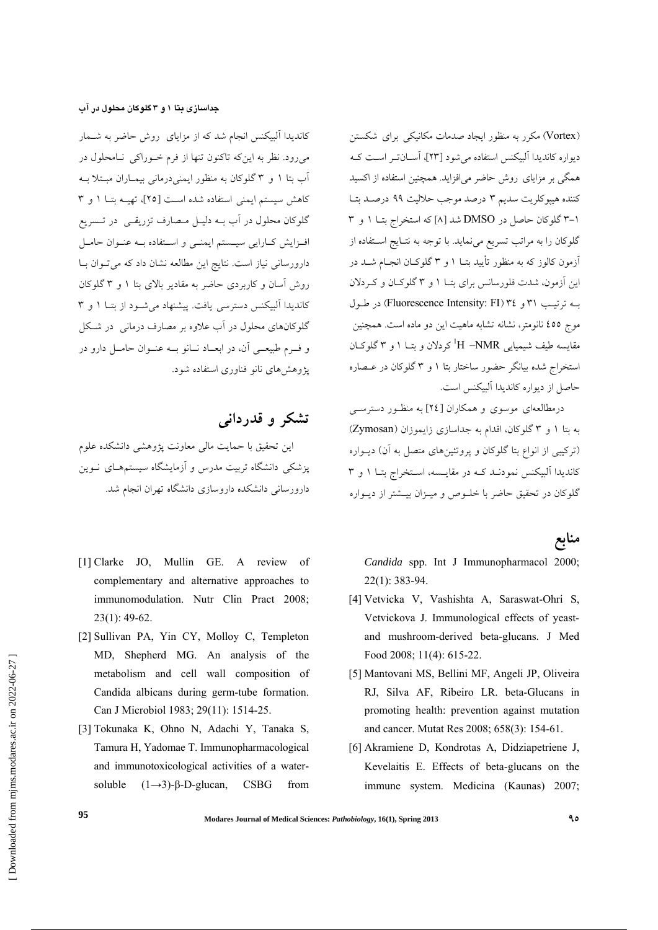(Vortex (مكرر به منظور ايجاد صدمات مكانيكي براي شكستن ديواره كانديدا آلبيكنس استفاده ميشود [23]، آسـانتـر اسـت كـه همگي بر مزاياي روش حاضر ميافزايد. همچنين استفاده از اكسيد كننده هيپوكلريت سديم 3 درصد موجب حلاليت 99 درصـد بتـا 3-1 گلوكان حاصل در DMSO شد [8] كه استخراج بتـا 1 و 3 گلوكان را به مراتب تسريع مينمايد. با توجه به نتـايج اسـتفاده از آزمون كالوز كه به منظور تأييد بتـا 1 و 3 گلوكـان انجـام شـد در اين آزمون، شدت فلورسانس براي بتـا 1 و 3 گلوكـان و كـردلان بـه ترتيـب 31 و 34 (FI :Intensity Fluorescence (در طـول موج 455 نانومتر، نشانه تشابه ماهيت اين دو ماده است. همچنين مقايسه طيف شيميايي H –NMR<sup>1</sup>كردلان و بتــا 1 و ٣ گلوكــان استخراج شده بيانگر حضور ساختار بتا 1 و 3 گلوكان در عـصاره حاصل از ديواره كانديدا آلبيكنس است.

درمطالعهاي موسوي و همكاران [24] به منظـور دسترسـي به بتا 1 و 3 گلوكان، اقدام به جداسازي زايموزان (Zymosan( (تركيبي از انواع بتا گلوكان و پروتئينهاي متصل به آن) ديـواره كانديدا آلبيكنس نمودنـد كـه در مقايـسه، اسـتخراج بتـا 1 و 3 گلوكان در تحقيق حاضر با خلـوص و ميـزان بيـشتر از ديـواره

### **منابع**

*Candida* spp. Int J Immunopharmacol 2000; 22(1): 383-94.

- [4] Vetvicka V, Vashishta A, Saraswat-Ohri S, Vetvickova J. Immunological effects of yeastand mushroom-derived beta-glucans. J Med Food 2008; 11(4): 615-22.
- [5] Mantovani MS, Bellini MF, Angeli JP, Oliveira RJ, Silva AF, Ribeiro LR. beta-Glucans in promoting health: prevention against mutation and cancer. Mutat Res 2008; 658(3): 154-61.
- [6] Akramiene D, Kondrotas A, Didziapetriene J, Kevelaitis E. Effects of beta-glucans on the immune system. Medicina (Kaunas) 2007;

### **جداسازي بتا 1 و 3 گلوكان محلول در آب**

كانديدا آلبيكنس انجام شد كه از مزاياي روش حاضر به شـمار ميرود. نظر به اينكه تاكنون تنها از فرم خـوراكي نـامحلول در آب بتا 1 و 3 گلوكان به منظور ايمنيدرماني بيمـاران مبـتلا بـه كاهش سيستم ايمني استفاده شده اسـت [25]، تهيـه بتـا 1 و 3 گلوكان محلول در آب بـه دليـل مـصارف تزريقـي در تـسريع افـزايش كـارايي سيـستم ايمنـي و اسـتفاده بـه عنـوان حامـل دارورساني نياز است. نتايج اين مطالعه نشان داد كه ميتـوان بـا روش آسان و كاربردي حاضر به مقادير بالاي بتا 1 و 3 گلوكان كانديدا آلبيكنس دسترسي يافت. پيشنهاد ميشـود از بتـا 1 و 3 گلوكانهاي محلول در آب علاوه بر مصارف درماني در شـكل و فــرم طبيعــي آن، در ابعــاد نــانو بــه عنــوان حامــل دارو در پژوهشهاي نانو فناوري استفاده شود.

## **تشكر و قدرداني**

اين تحقيق با حمايت مالي معاونت پژوهشي دانشكده علوم پزشكي دانشگاه تربيت مدرس و آزمايشگاه سيستمهـاي نـوين دارورساني دانشكده داروسازي دانشگاه تهران انجام شد.

- [1] Clarke JO, Mullin GE. A review of complementary and alternative approaches to immunomodulation. Nutr Clin Pract 2008; 23(1): 49-62.
- [2] Sullivan PA, Yin CY, Molloy C, Templeton MD, Shepherd MG. An analysis of the metabolism and cell wall composition of Candida albicans during germ-tube formation. Can J Microbiol 1983; 29(11): 1514-25.
- [3] Tokunaka K, Ohno N, Adachi Y, Tanaka S, Tamura H, Yadomae T. Immunopharmacological and immunotoxicological activities of a watersoluble  $(1\rightarrow 3)$ -β-D-glucan, CSBG from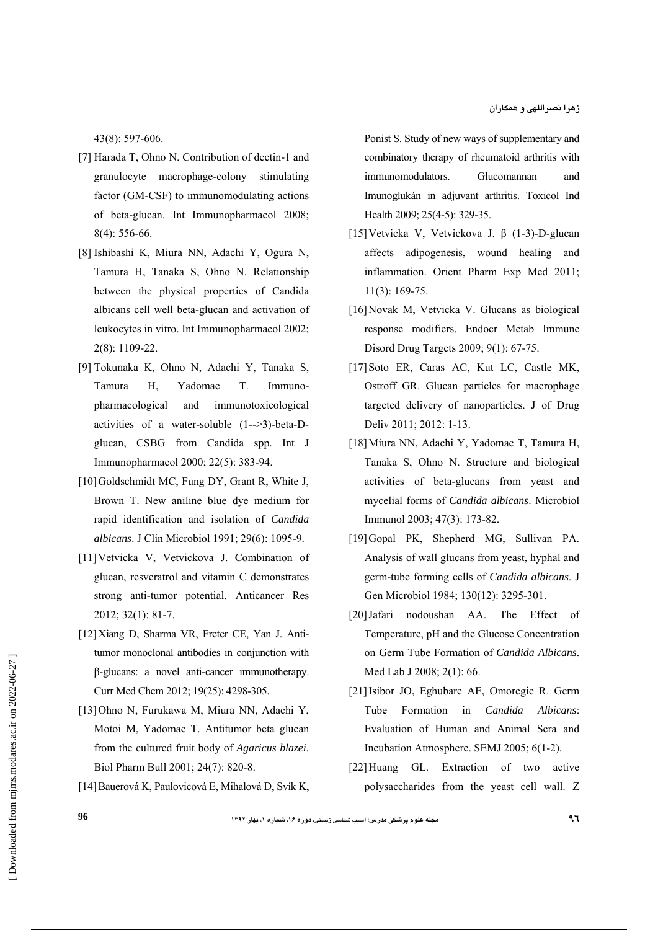43(8): 597-606.

- [7] Harada T, Ohno N. Contribution of dectin-1 and granulocyte macrophage-colony stimulating factor (GM-CSF) to immunomodulating actions of beta-glucan. Int Immunopharmacol 2008; 8(4): 556-66.
- [8] Ishibashi K, Miura NN, Adachi Y, Ogura N, Tamura H, Tanaka S, Ohno N. Relationship between the physical properties of Candida albicans cell well beta-glucan and activation of leukocytes in vitro. Int Immunopharmacol 2002; 2(8): 1109-22.
- [9] Tokunaka K, Ohno N, Adachi Y, Tanaka S, Tamura H, Yadomae T. Immunopharmacological and immunotoxicological activities of a water-soluble (1-->3)-beta-Dglucan, CSBG from Candida spp. Int J Immunopharmacol 2000; 22(5): 383-94.
- [10] Goldschmidt MC, Fung DY, Grant R, White J, Brown T. New aniline blue dye medium for rapid identification and isolation of *Candida albicans*. J Clin Microbiol 1991; 29(6): 1095-9.
- [11]Vetvicka V, Vetvickova J. Combination of glucan, resveratrol and vitamin C demonstrates strong anti-tumor potential. Anticancer Res 2012; 32(1): 81-7.
- [12]Xiang D, Sharma VR, Freter CE, Yan J. Antitumor monoclonal antibodies in conjunction with β-glucans: a novel anti-cancer immunotherapy. Curr Med Chem 2012; 19(25): 4298-305.
- [13]Ohno N, Furukawa M, Miura NN, Adachi Y, Motoi M, Yadomae T. Antitumor beta glucan from the cultured fruit body of *Agaricus blazei*. Biol Pharm Bull 2001; 24(7): 820-8.
- [14]Bauerová K, Paulovicová E, Mihalová D, Svík K,

Ponist S. Study of new ways of supplementary and combinatory therapy of rheumatoid arthritis with immunomodulators. Glucomannan and Imunoglukán in adjuvant arthritis. Toxicol Ind Health 2009; 25(4-5): 329-35.

- [15]Vetvicka V, Vetvickova J. β (1-3)-D-glucan affects adipogenesis, wound healing and inflammation. Orient Pharm Exp Med 2011; 11(3): 169-75.
- [16]Novak M, Vetvicka V. Glucans as biological response modifiers. Endocr Metab Immune Disord Drug Targets 2009; 9(1): 67-75.
- [17]Soto ER, Caras AC, Kut LC, Castle MK, Ostroff GR. Glucan particles for macrophage targeted delivery of nanoparticles. J of Drug Deliv 2011; 2012: 1-13.
- [18]Miura NN, Adachi Y, Yadomae T, Tamura H, Tanaka S, Ohno N. Structure and biological activities of beta-glucans from yeast and mycelial forms of *Candida albicans*. Microbiol Immunol 2003; 47(3): 173-82.
- [19]Gopal PK, Shepherd MG, Sullivan PA. Analysis of wall glucans from yeast, hyphal and germ-tube forming cells of *Candida albicans*. J Gen Microbiol 1984; 130(12): 3295-301.
- [20]Jafari nodoushan AA. The Effect of Temperature, pH and the Glucose Concentration on Germ Tube Formation of *Candida Albicans*. Med Lab J 2008; 2(1): 66.
- [21]Isibor JO, Eghubare AE, Omoregie R. Germ Tube Formation in *Candida Albicans*: Evaluation of Human and Animal Sera and Incubation Atmosphere. SEMJ 2005; 6(1-2).
- [22]Huang GL. Extraction of two active polysaccharides from the yeast cell wall. Z